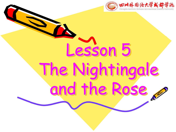

# Lesson 5 The Nightingale and the Rose,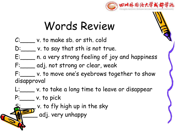

# Words Review

- C: v. to make sb. or sth. cold
- D: \_\_\_\_\_\_ v. to say that sth is not true.
- E:\_\_\_\_ n. a very strong feeling of joy and happiness
- F:\_\_\_\_ adj. not strong or clear, weak
- F:\_\_\_\_ v. to move one 's eyebrows together to show disapproval
- L:\_\_\_\_\_\_ v. to take a long time to leave or disappear
- $P:$  v. to pick
	- v. to fly high up in the sky
	- adj. very unhappy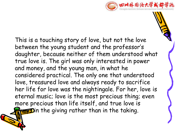

This is a touching story of love, but not the love between the young student and the professor  $\mathsf{S}$ daughter, because neither of them understood what true love is. The girl was only interested in power and money, and the young man, in what he considered practical. The only one that understood love, treasured love and always ready to sacrifice her life for love was the nightingale. For her, love is eternal music; love is the most precious thing; even more precious than life itself, and true love is **Always 3** in the giving rather than in the taking.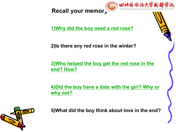**Recall your memory**



**1)Why did the boy need a red rose?**

**2)Is there any red rose in the winter?**

**3)Who helped the boy get the red rose in the end? How?**

**4)Did the boy have a date with the girl? Why or why not?**



**5)What did the boy think about love in the end?**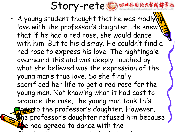

• A young student thought that he was madly love with the professor's daughter. He knew $\blacktriangleright$ that if he had a red rose, she would dance with him. But to his dismay. He couldn't find a red rose to express his love. The nightingale overheard this and was deeply touched by what she believed was the expression of the young man's true love. So she finally sacrificed her life to get a red rose for the young man. Not knowing what it had cost to produce the rose, the young man took this **Resept**o the professor's daughter. However, **th**e professor's daughter refused him because she had agreed to dance with the Chamberlin's nephew who had given her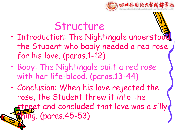

# Structure

- Introduction: The Nightingale understood the Student who badly needed a red rose for his love. (paras.1-12)
- Body: The Nightingale built a red rose with her life-blood. (paras.13-44)
- Conclusion: When his love rejected the rose, the Student threw it into the treet and concluded that love was a silly  $\overline{ung}$ . (paras. 45-53)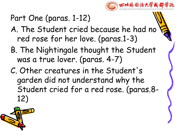

## Part One (paras. 1-12)

- A. The Student cried because he had no red rose for her love. (paras.1-3)
- B. The Nightingale thought the Student was a true lover. (paras. 4-7)
- C. Other creatures in the Student's garden did not understand why the Student cried for a red rose. (paras.8- 12)

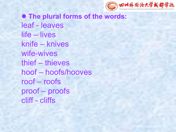

l **The plural forms of the words:** leaf - leaves life – lives knife – knives wife-wives thief – thieves hoof – hoofs/hooves roof – roofs proof – proofs cliff - cliffs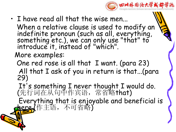

• I have read all that the wise men... When a relative clause is used to modify an  $\blacktriangleright$ indefinite pronoun (such as all, everything, something etc.), we can only use "that" to  $\mathbf{u}_1$ introduce it, instead of "which".

More examples:

One red rose is all that I want. (para 23) All that I ask of you in return is that...(para 29)

It's something <sup>I</sup> never thought <sup>I</sup> would do. (先行词在从句中作宾语,常省略that) Everything that is enjoyable and beneficial is here.(作主语,不可省略)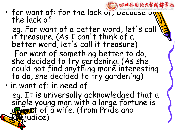• for want of: for the lack of, because the lack of

eg. For want of a better word, let's call it treasure. (As I can 't think of a better word, let's call it treasure)

四川外围语大学或都学说

For want of something better to do, she decided to try gardening. (As she could not find anything more interesting to do, she decided to fry gardening)

• in want of: in need of

eg. It is universally acknowledged that a single young man with a large fortune is in wate. (from Pride and **Ejudice)**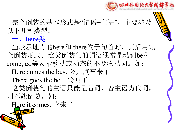

完全倒装的基本形式是"谓语+主语", 主要涉及 ≥ 以下几种类型:

#### 一、**here**类

当表示地点的here和 there位于句首时,其后用完 全倒装形式。这类倒装句的谓语通常是动词be和 come, go等表示移动或动态的不及物动词。如: Here comes the bus. 公共汽车来了。 There goes the bell. 铃响了。 这类倒装句的主语只能是名词,若主语为代词, 则不能倒装。如:

Here it comes. 它来了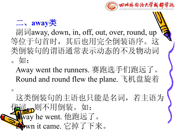



副词away, down, in, off, out, over, round, up 等位于句首时,其后也用完全倒装语序。这 类倒装句的谓语通常表示动态的不及物动词 。如:

Away went the runners. 赛跑选手们跑远了。 Round and round flew the plane. 飞机盘旋着

 $\circ$ 

这类倒装句的主语也只能是名词,若主语为 47则不用倒装。如: Away he went. 他跑远了。 pwn it came. 它掉了下来。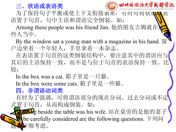#### 三、状语或表语类 (Gsi) 2M外围资大学



为了保持句子平衡或使上下文衔接紧密, 有时可将状调 语置于句首,句中主语和谓语完全倒装。如:

Among these people was his friend Jim. 他的朋友吉姆就在 些人当中。

By the window sat a young man with a magazine in his hand.  $\hat{\mathbb{B}}$ 户边坐着一个年轻人,手里拿着一本杂志。

在表语置于句首的这类倒装结构中,要注意其中的谓语应与 其后的主语保持一致,而不是与位于句首的表语保持一致。比 **较:** 

In the box was a cat. 箱子里是一只猫。 In the box were some cats. 箱子里是一些猫。 四、非谓语动词类

有时为了强调,可将谓语部分的现在分词、过去分词或不定 式置于句首,从而构成倒装。如:

BETHINg beside the table was his wife. 站在桌旁的是他的妻子 be carefully considered are the following questions. 下列问 题要仔细考虑。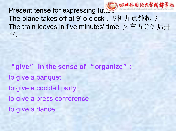

The plane takes off at 9' o clock . 飞机九点钟起飞 The train leaves in five minutes' time. 火车五分钟后开 车。

"**give**" **in the sense of** "**organize**"**:** to give a banquet to give a cocktail party to give a press conference to give a dance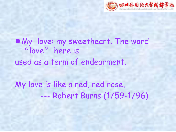

### $\bullet$  My love: my sweetheart. The word "love" here is used as a term of endearment.

My love is like a red, red rose, --- Robert Burns (1759-1796)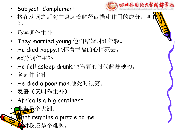- 
- 接在动词之后对主语起着解释或描述作用的成分, 补。
- 形容词作主补
- They married young.他们结婚时还年轻。
- He died happy.他怀着幸福的心情死去。
- ed分词作主补
- He fell asleep drunk.他睡着的时候醉醺醺的。
- 名词作主补
- He died a poor man.他死时很穷。
- 表语(又叫作主补)
- Africa is a big continent.
- 非洲是个大洲。

hat remains a puzzle to me.



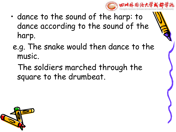

- dance to the sound of the harp: to dance according to the sound of the harp.
	- e.g. The snake would then dance to the music.
		- The soldiers marched through the square to the drumbeat.

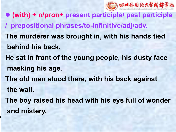

l **(with) + n/pron+ present participle/ past participle / prepositional phrases/to-infinitive/adj/adv. The murderer was brought in, with his hands tied behind his back. He sat in front of the young people, his dusty face masking his age. The old man stood there, with his back against the wall. The boy raised his head with his eys full of wonder and mistery.**

والمعاد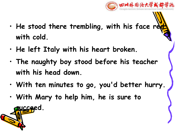

- **He stood there trembling, with his face red with cold.**
- **He left Italy with his heart broken.**
- **The naughty boy stood before his teacher with his head down.**
- **With ten minutes to go, you'd better hurry.**
- **With Mary to help him, he is sure to**

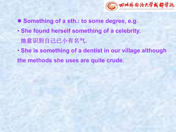

- l **Something of a sth.: to some degree, e.g.**
- **She found herself something of a celebrity.** 她意识到自己已小有名气**.**
- **She is something of a dentist in our village although the methods she uses are quite crude.**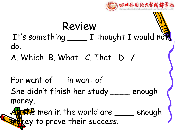

## Review It's something \_\_\_\_ I thought I would not do.

A. Which B. What C. That D. /

For want of in want of She didn't finish her study \_\_\_\_ enough money.

The men in the world are <u>\_\_\_</u> enough hey to prove their success.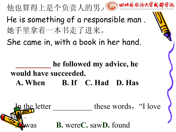他也算得上是个负责人的男人。 He is something of a responsible man . 她手里拿着一本书走了进来。 She came in, with a book in her hand. In the letter these words, "I love you all the same state of the state of the state of the state of the state of the state of the state of the state of the state of the state of the state of the state of the state of the state of the state of the state of t ". **B.** were **C.** saw **D.** found **\_\_\_\_\_\_\_\_\_ he followed my advice, he would have succeeded. A. When B. If C. Had D. Has**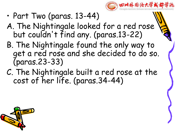

- Part Two (paras. 13-44)
- A. The Nightingale looked for a red rose  $\mathcal{A}$ but couldn 't find any. (paras.13-22)
- B. The Nightingale found the only way to get a red rose and she decided to do so. (paras.23-33)
- C. The Nightingale built a red rose at the cost of her life. (paras.34-44)

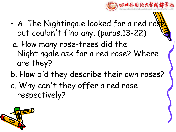

- $\cdot$  A. The Nightingale looked for a red ro. but couldn 't find any. (paras.13-22)
- a. How many rose-trees did the Nightingale ask for a red rose? Where are they?
- b. How did they describe their own roses?
- c. Why can 't they offer a red rose respectively?

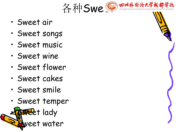

- Sweet air
- Sweet songs
- Sweet music
- Sweet wine
- Sweet flower
- Sweet cakes
- Sweet smile
- Sweet temper

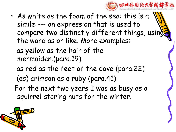

• As white as the foam of the sea: this is a simile --- an expression that is used to compare two distinctly different things, using the word as or like. More examples: as yellow as the hair of the mermaiden.(para.19) as red as the feet of the dove (para.22) (as) crimson as a ruby (para.41) For the next two years I was as busy as a squirrel storing nuts for the winter.

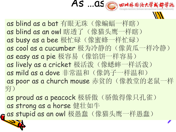

- as blind as a bat 有眼无珠(像蝙蝠一样瞎) as blind as an owl 瞎透了(像猫头鹰一样瞎) as busy as a bee 极忙碌(像蜜蜂一样忙碌) as cool as a cucumber 极为冷静的(像黄瓜一样冷静) as easy as a pie 极容易(像馅饼一样容易) as lively as a cricket 极活泼(像蟋蟀一样活泼) as mild as a dove 非常温和(像鸽子一样温和) as poor as a church mouse 赤贫的(像教堂的老鼠一样 穷)
- as proud as a peacock 极骄傲(骄傲得像只孔雀) as strong as a horse 健壮如牛
- as stupid as an owl 极愚蠢(像猫头鹰一样愚蠢)

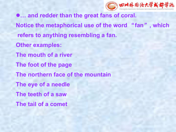

l**… and redder than the great fans of coral. Notice the metaphorical use of the word** "**fan**" **, which refers to anything resembling a fan. Other examples: The mouth of a river The foot of the page The northern face of the mountain The eye of a needle The teeth of a saw The tail of a comet**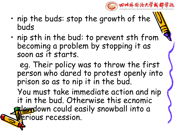

- nip the buds: stop the growth of the buds
- nip sth in the bud: to prevent sth from becoming a problem by stopping it as

soon as it starts.<br>eg. Their policy was to throw the first person who dared to protest openly into prison so as to nip it in the bud.

You must take immediate action and nip it in the bud. Otherwise this ecnomic slewdown could easily snowball into a **Erious recession.**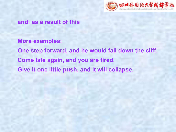

**and: as a result of this**

**More examples: One step forward, and he would fall down the cliff. Come late again, and you are fired. Give it one little push,and it will collapse.**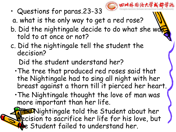

• Questions for paras.23-33

a. what is the only way to get a red rose?

- b. Did the nightingale decide to do what she was told to at once or not?
- c. Did the nightingale tell the student the decision?

Did the student understand her?

- •The tree that produced red roses said that the Nightingale had to sing all night with her breast against a thorn till it pierced her heart.
- •The Nightingale thought the love of man was more important than her life.

**Fel**Nightingale told the Student about her pcision to sacrifice her life for his love, but e Student failed to understand her.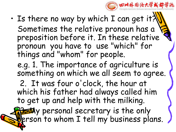

- Is there no way by which I can get it? Sometimes the relative pronoun has a preposition before it. In these relative pronoun you have to use "which" for things and "whom" for people.
	- e.g. 1. The importance of agriculture is something on which we all seem to agree.
	- 2. It was four o ' clock, the hour at which his father had always called him to get up and help with the milking.

35My personal secretary is the only person to whom I tell my business plans.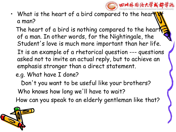

• What is the heart of a bird compared to the hear a man?

The heart of a bird is nothing compared to the heart of a man. In other words, for the Nightingale, the Student's love is much more important than her life.

- It is an example of a rhetorical question --- questions asked not to invite an actual reply, but to achieve an emphasis stronger than a direct statement.
- e.g. What have I done?

Don 't you want to be useful like your brothers? Who knows how long we 'll have to wait? How can you speak to an elderly gentleman like that?

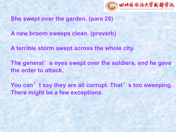

**She swept over the garden. (para 28)**

**A new broom sweeps clean. (proverb)**

A terrible storm swept across the whole city.<br>The general's eyes swept over the soldiers, and he gave **the order to attack.**

**You can**'**t say they are all corrupt. That**'**s too sweeping. There might be a few exceptions.**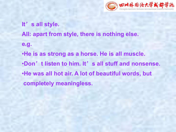

**It**'**s all style. All: apart from style, there is nothing else. e.g.** •**He is as strong as a horse. He is all muscle.** •**Don**'**t listen to him. It**'**s all stuff and nonsense.** •**He was all hot air. A lot of beautiful words, but completely meaningless.**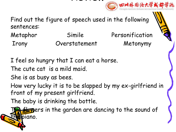## **Review Community of the Community of the Community of the Community of the Community of the Community of the Community of the Community of the Community of the Community of the Community of the Community of the Community**

Find out the figure of speech used in the following sentences:

Metaphor Simile Personification Irony Overstatement Metonymy

I feel so hungry that I can eat a horse.

The cute cat is a mild maid.

She is as busy as bees.

How very lucky it is to be slapped by my ex-girlfriend in front of my present girlfriend.

The baby is drinking the bottle.<br>The flowers in the garden are dancing to the sound of piano.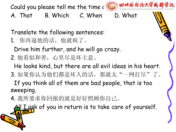Could you please tell me the time (C) 四川外围语大学或都学院

- A. That B. Which C. When D. What
- Translate the following sentences:
- 1. 你再逼他的话,他就疯了。
	- Drive him further, and he will go crazy.
- 2. 他看似和善,心里尽是坏主意。
	- He looks kind, but there are all evil ideas in his heart.
- 3. 如果你认为他们都是坏人的话, 那就太"一网打尽"了。 If you think all of them are bad people, that is too sweeping.
- 4. 我所要求你回报的就是好好照顾你自己。

I I ask of you in return is to take care of yourself.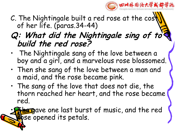

C. The Nightingale built a red rose at the  $cos\|$ of her life. (paras.34-44)

#### **Q: What did the Nightingale sing of to build the red rose?**

- The Nightingale sang of the love between a boy and a girl, and a marvelous rose blossomed.
- Then she sang of the love between a man and a maid, and the rose became pink.
- The sang of the love that does not die, the thorn reached her heart, and the rose became red.

**Has g**ave one last burst of music, and the red bse opened its petals.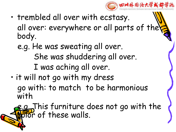

- trembled all over with ecstasy. all over: everywhere or all parts of the body.
	- e.g. He was sweating all over. She was shuddering all over. I was aching all over.
- it will not go with my dress go with: to match to be harmonious with

e.g. This furniture does not go with the For of these walls.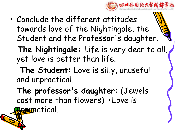

- Conclude the different attitudes towards love of the Nightingale, the Student and the Professor's daughter.
	- **The Nightingale:** Life is very dear to all, yet love is better than life.
	- **The Student:** Love is silly, unuseful and unpractical.
	- **The professor's daughter:** (Jewels cost more than flowers)→Love is Resmetical.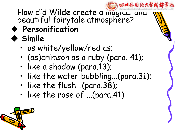

How did Wilde create a magical and  $\frac{1}{100}$ beautiful fairytale atmosphere? \\\\

u **Personification**

## ◆ Simile

- as white/yellow/red as;
- (as)crimson as a ruby (para. 41);
- like a shadow (para.13);
- like the water bubbling...(para.31);
- like the flush...(para.38);
- like the rose of ...(para.41)

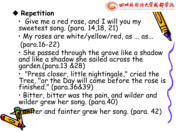



- Give me a red rose, and I will you my sweetest song. (para. 14,18, 21)  $\sqrt{2}$
- My roses are white/yellow/red, as ... as... (para.16-22)
- She passed through the grove like a shadow  $\blacksquare$ and like a shadow she sailed across the garden.(para.13 &28)

• "Press closer, little nightingale," cried the Tree, "or the Day will come before the rose is finished." (para.36&39)

• Bitter, bitter was the pain, and wilder and wilder grew her song. (para.40)

**Fant**er and fainter grew her song. (para. 42)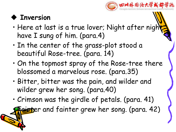

#### **Thversion**

- Here at last is a true lover; Night after night have I sung of him. (para.4)
- In the center of the grass-plot stood a beautiful Rose-tree. (para. 14)
- On the topmost spray of the Rose-tree there blossomed a marvelous rose. (para.35)
- Bitter, bitter was the pain, and wilder and wilder grew her song. (para.40)
- Crimson was the girdle of petals. (para. 41)

**Eist**er and fainter grew her song. (para. 42)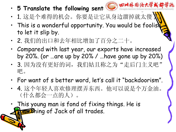- 5 Translate the following sent **<b>C** 田川外国法大学
- 1. 这是个难得的机会。你要是让它从身边溜掉就太傻
- $\cdot$  This is a wonderful opportunity. You would be foolish to let it slip by.
- 2. 我们的出口和去年相比增加了百分之二十。
- Compared with last year, our exports have increased by 20%. (or …are up by 20% / …have gone up by 20%)
- 3. 因为没有更好的词, 我们姑且称之为"走后门主义吧" 吧。<br>
————————————————————
- For want of s better word, let's call it "backdoorism".
- 4. 这个年轻人喜欢修理摆弄东西。他可以说是个万金油。 (什么都会一点的人)。
- This young man is fond of fixing things. He is **FREPhing of Jack of all trades.**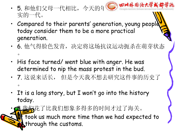- 5. 和他们父母一代相比, 今天的年《前》四川外围资大学或都学院 实的一代。
- Compared to their parents' generation, young people  $\blacktriangle$ today consider them to be a more practical generation.
- 6. 他气得脸色发青,决定将这场抗议运动扼杀在萌芽状态  $\overline{\phantom{a}}$
- His face turned/ went blue with anger. He was determined to nip the mass protest in the bud.
- 7. 这说来话长, 但是今天我不想去研究这件事的历史了  $\overline{\phantom{a}}$
- It is a long story, but I won't go into the history today.

• 8.我们花了比我们想象多得多的时间才过了海关。 took us much more time than we had expected to **A** through the customs.